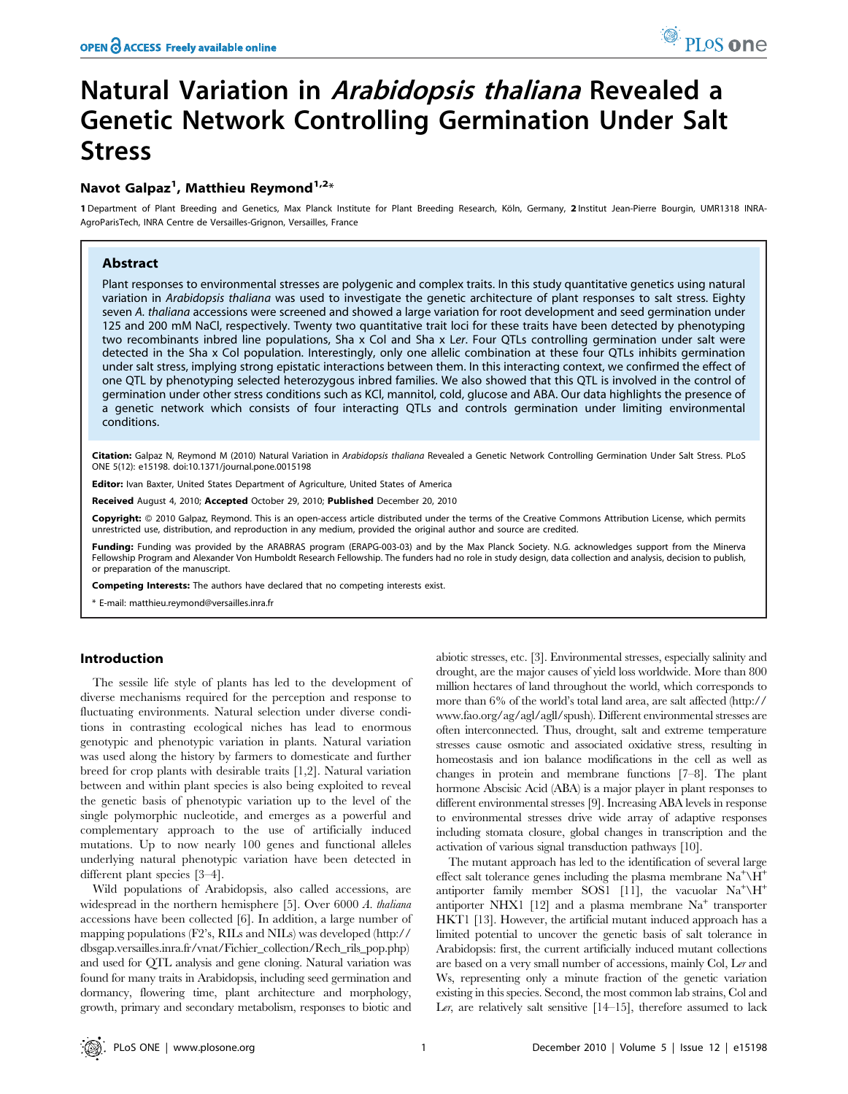# Natural Variation in *Arabidopsis thaliana* Revealed a Genetic Network Controlling Germination Under Salt **Stress**

## Navot Galpaz<sup>1</sup>, Matthieu Reymond<sup>1,2</sup>\*

1 Department of Plant Breeding and Genetics, Max Planck Institute for Plant Breeding Research, Köln, Germany, 2 Institut Jean-Pierre Bourgin, UMR1318 INRA-AgroParisTech, INRA Centre de Versailles-Grignon, Versailles, France

### Abstract

Plant responses to environmental stresses are polygenic and complex traits. In this study quantitative genetics using natural variation in Arabidopsis thaliana was used to investigate the genetic architecture of plant responses to salt stress. Eighty seven A. thaliana accessions were screened and showed a large variation for root development and seed germination under 125 and 200 mM NaCl, respectively. Twenty two quantitative trait loci for these traits have been detected by phenotyping two recombinants inbred line populations, Sha x Col and Sha x Ler. Four QTLs controlling germination under salt were detected in the Sha x Col population. Interestingly, only one allelic combination at these four QTLs inhibits germination under salt stress, implying strong epistatic interactions between them. In this interacting context, we confirmed the effect of one QTL by phenotyping selected heterozygous inbred families. We also showed that this QTL is involved in the control of germination under other stress conditions such as KCl, mannitol, cold, glucose and ABA. Our data highlights the presence of a genetic network which consists of four interacting QTLs and controls germination under limiting environmental conditions.

Citation: Galpaz N, Reymond M (2010) Natural Variation in Arabidopsis thaliana Revealed a Genetic Network Controlling Germination Under Salt Stress. PLoS ONE 5(12): e15198. doi:10.1371/journal.pone.0015198

Editor: Ivan Baxter, United States Department of Agriculture, United States of America

Received August 4, 2010; Accepted October 29, 2010; Published December 20, 2010

Copyright: © 2010 Galpaz, Reymond. This is an open-access article distributed under the terms of the Creative Commons Attribution License, which permits unrestricted use, distribution, and reproduction in any medium, provided the original author and source are credited.

Funding: Funding was provided by the ARABRAS program (ERAPG-003-03) and by the Max Planck Society. N.G. acknowledges support from the Minerva Fellowship Program and Alexander Von Humboldt Research Fellowship. The funders had no role in study design, data collection and analysis, decision to publish, or preparation of the manuscript.

Competing Interests: The authors have declared that no competing interests exist.

\* E-mail: matthieu.reymond@versailles.inra.fr

#### Introduction

The sessile life style of plants has led to the development of diverse mechanisms required for the perception and response to fluctuating environments. Natural selection under diverse conditions in contrasting ecological niches has lead to enormous genotypic and phenotypic variation in plants. Natural variation was used along the history by farmers to domesticate and further breed for crop plants with desirable traits [1,2]. Natural variation between and within plant species is also being exploited to reveal the genetic basis of phenotypic variation up to the level of the single polymorphic nucleotide, and emerges as a powerful and complementary approach to the use of artificially induced mutations. Up to now nearly 100 genes and functional alleles underlying natural phenotypic variation have been detected in different plant species [3–4].

Wild populations of Arabidopsis, also called accessions, are widespread in the northern hemisphere [5]. Over 6000 A. thaliana accessions have been collected [6]. In addition, a large number of mapping populations (F2's, RILs and NILs) was developed (http:// dbsgap.versailles.inra.fr/vnat/Fichier\_collection/Rech\_rils\_pop.php) and used for QTL analysis and gene cloning. Natural variation was found for many traits in Arabidopsis, including seed germination and dormancy, flowering time, plant architecture and morphology, growth, primary and secondary metabolism, responses to biotic and

abiotic stresses, etc. [3]. Environmental stresses, especially salinity and drought, are the major causes of yield loss worldwide. More than 800 million hectares of land throughout the world, which corresponds to more than 6% of the world's total land area, are salt affected (http:// www.fao.org/ag/agl/agll/spush). Different environmental stresses are often interconnected. Thus, drought, salt and extreme temperature stresses cause osmotic and associated oxidative stress, resulting in homeostasis and ion balance modifications in the cell as well as changes in protein and membrane functions [7–8]. The plant hormone Abscisic Acid (ABA) is a major player in plant responses to different environmental stresses [9]. Increasing ABA levels in response to environmental stresses drive wide array of adaptive responses including stomata closure, global changes in transcription and the activation of various signal transduction pathways [10].

The mutant approach has led to the identification of several large effect salt tolerance genes including the plasma membrane  $\text{Na}^+\text{H}^+$ antiporter family member SOS1 [11], the vacuolar  $Na^{+}\H^{+}$ antiporter NHX1 [12] and a plasma membrane  $Na<sup>+</sup>$  transporter HKT1 [13]. However, the artificial mutant induced approach has a limited potential to uncover the genetic basis of salt tolerance in Arabidopsis: first, the current artificially induced mutant collections are based on a very small number of accessions, mainly Col, Ler and Ws, representing only a minute fraction of the genetic variation existing in this species. Second, the most common lab strains, Col and Ler, are relatively salt sensitive  $[14-15]$ , therefore assumed to lack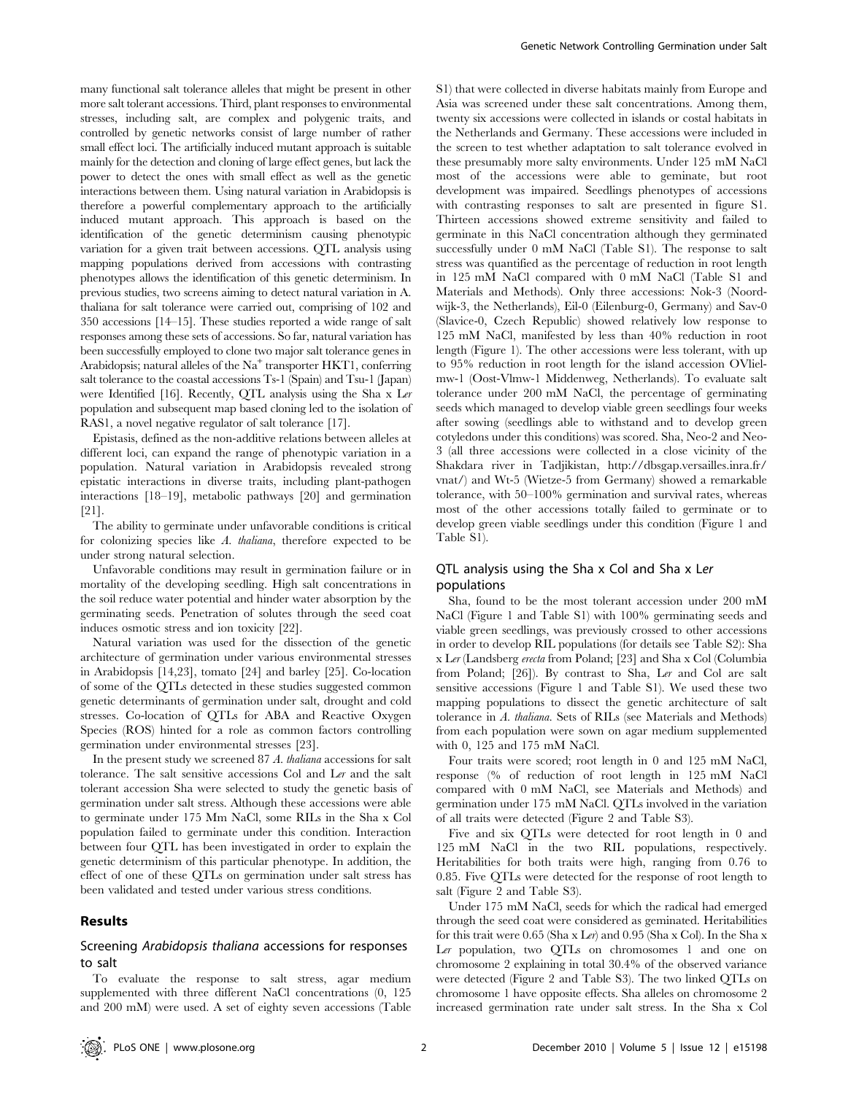many functional salt tolerance alleles that might be present in other more salt tolerant accessions. Third, plant responses to environmental stresses, including salt, are complex and polygenic traits, and controlled by genetic networks consist of large number of rather small effect loci. The artificially induced mutant approach is suitable mainly for the detection and cloning of large effect genes, but lack the power to detect the ones with small effect as well as the genetic interactions between them. Using natural variation in Arabidopsis is therefore a powerful complementary approach to the artificially induced mutant approach. This approach is based on the identification of the genetic determinism causing phenotypic variation for a given trait between accessions. QTL analysis using mapping populations derived from accessions with contrasting phenotypes allows the identification of this genetic determinism. In previous studies, two screens aiming to detect natural variation in A. thaliana for salt tolerance were carried out, comprising of 102 and 350 accessions [14–15]. These studies reported a wide range of salt responses among these sets of accessions. So far, natural variation has been successfully employed to clone two major salt tolerance genes in Arabidopsis; natural alleles of the  $Na<sup>+</sup>$  transporter  $HKT1$ , conferring salt tolerance to the coastal accessions Ts-1 (Spain) and Tsu-1 (Japan) were Identified [16]. Recently, QTL analysis using the Sha x Ler population and subsequent map based cloning led to the isolation of RAS1, a novel negative regulator of salt tolerance [17].

Epistasis, defined as the non-additive relations between alleles at different loci, can expand the range of phenotypic variation in a population. Natural variation in Arabidopsis revealed strong epistatic interactions in diverse traits, including plant-pathogen interactions [18–19], metabolic pathways [20] and germination [21].

The ability to germinate under unfavorable conditions is critical for colonizing species like A. thaliana, therefore expected to be under strong natural selection.

Unfavorable conditions may result in germination failure or in mortality of the developing seedling. High salt concentrations in the soil reduce water potential and hinder water absorption by the germinating seeds. Penetration of solutes through the seed coat induces osmotic stress and ion toxicity [22].

Natural variation was used for the dissection of the genetic architecture of germination under various environmental stresses in Arabidopsis [14,23], tomato [24] and barley [25]. Co-location of some of the QTLs detected in these studies suggested common genetic determinants of germination under salt, drought and cold stresses. Co-location of QTLs for ABA and Reactive Oxygen Species (ROS) hinted for a role as common factors controlling germination under environmental stresses [23].

In the present study we screened 87 A. thaliana accessions for salt tolerance. The salt sensitive accessions Col and Ler and the salt tolerant accession Sha were selected to study the genetic basis of germination under salt stress. Although these accessions were able to germinate under 175 Mm NaCl, some RILs in the Sha x Col population failed to germinate under this condition. Interaction between four QTL has been investigated in order to explain the genetic determinism of this particular phenotype. In addition, the effect of one of these QTLs on germination under salt stress has been validated and tested under various stress conditions.

#### Results

### Screening Arabidopsis thaliana accessions for responses to salt

To evaluate the response to salt stress, agar medium supplemented with three different NaCl concentrations (0, 125 and 200 mM) were used. A set of eighty seven accessions (Table

S1) that were collected in diverse habitats mainly from Europe and Asia was screened under these salt concentrations. Among them, twenty six accessions were collected in islands or costal habitats in the Netherlands and Germany. These accessions were included in the screen to test whether adaptation to salt tolerance evolved in these presumably more salty environments. Under 125 mM NaCl most of the accessions were able to geminate, but root development was impaired. Seedlings phenotypes of accessions with contrasting responses to salt are presented in figure S1. Thirteen accessions showed extreme sensitivity and failed to germinate in this NaCl concentration although they germinated successfully under 0 mM NaCl (Table S1). The response to salt stress was quantified as the percentage of reduction in root length in 125 mM NaCl compared with 0 mM NaCl (Table S1 and Materials and Methods). Only three accessions: Nok-3 (Noordwijk-3, the Netherlands), Eil-0 (Eilenburg-0, Germany) and Sav-0 (Slavice-0, Czech Republic) showed relatively low response to 125 mM NaCl, manifested by less than 40% reduction in root length (Figure 1). The other accessions were less tolerant, with up to 95% reduction in root length for the island accession OVlielmw-1 (Oost-Vlmw-1 Middenweg, Netherlands). To evaluate salt tolerance under 200 mM NaCl, the percentage of germinating seeds which managed to develop viable green seedlings four weeks after sowing (seedlings able to withstand and to develop green cotyledons under this conditions) was scored. Sha, Neo-2 and Neo-3 (all three accessions were collected in a close vicinity of the Shakdara river in Tadjikistan, http://dbsgap.versailles.inra.fr/ vnat/) and Wt-5 (Wietze-5 from Germany) showed a remarkable tolerance, with 50–100% germination and survival rates, whereas most of the other accessions totally failed to germinate or to develop green viable seedlings under this condition (Figure 1 and Table S1).

## QTL analysis using the Sha x Col and Sha x Ler populations

Sha, found to be the most tolerant accession under 200 mM NaCl (Figure 1 and Table S1) with 100% germinating seeds and viable green seedlings, was previously crossed to other accessions in order to develop RIL populations (for details see Table S2): Sha x Ler (Landsberg erecta from Poland; [23] and Sha x Col (Columbia from Poland; [26]). By contrast to Sha, Ler and Col are salt sensitive accessions (Figure 1 and Table S1). We used these two mapping populations to dissect the genetic architecture of salt tolerance in A. thaliana. Sets of RILs (see Materials and Methods) from each population were sown on agar medium supplemented with 0, 125 and 175 mM NaCl.

Four traits were scored; root length in 0 and 125 mM NaCl, response (% of reduction of root length in 125 mM NaCl compared with 0 mM NaCl, see Materials and Methods) and germination under 175 mM NaCl. QTLs involved in the variation of all traits were detected (Figure 2 and Table S3).

Five and six QTLs were detected for root length in 0 and 125 mM NaCl in the two RIL populations, respectively. Heritabilities for both traits were high, ranging from 0.76 to 0.85. Five QTLs were detected for the response of root length to salt (Figure 2 and Table S3).

Under 175 mM NaCl, seeds for which the radical had emerged through the seed coat were considered as geminated. Heritabilities for this trait were 0.65 (Sha x Ler) and 0.95 (Sha x Col). In the Sha x Ler population, two QTLs on chromosomes 1 and one on chromosome 2 explaining in total 30.4% of the observed variance were detected (Figure 2 and Table S3). The two linked QTLs on chromosome 1 have opposite effects. Sha alleles on chromosome 2 increased germination rate under salt stress. In the Sha x Col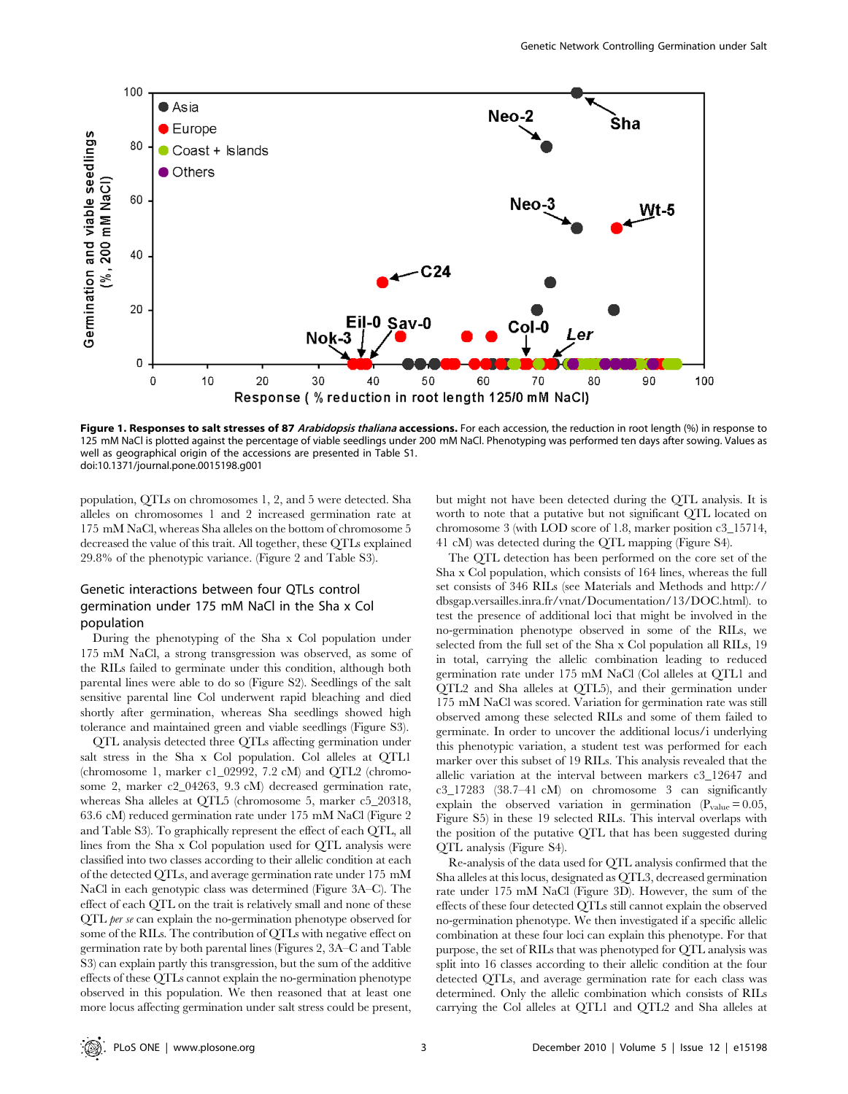

Figure 1. Responses to salt stresses of 87 Arabidopsis thaliana accessions. For each accession, the reduction in root length (%) in response to 125 mM NaCl is plotted against the percentage of viable seedlings under 200 mM NaCl. Phenotyping was performed ten days after sowing. Values as well as geographical origin of the accessions are presented in Table S1. doi:10.1371/journal.pone.0015198.g001

population, QTLs on chromosomes 1, 2, and 5 were detected. Sha alleles on chromosomes 1 and 2 increased germination rate at 175 mM NaCl, whereas Sha alleles on the bottom of chromosome 5 decreased the value of this trait. All together, these QTLs explained 29.8% of the phenotypic variance. (Figure 2 and Table S3).

## Genetic interactions between four QTLs control germination under 175 mM NaCl in the Sha x Col population

During the phenotyping of the Sha x Col population under 175 mM NaCl, a strong transgression was observed, as some of the RILs failed to germinate under this condition, although both parental lines were able to do so (Figure S2). Seedlings of the salt sensitive parental line Col underwent rapid bleaching and died shortly after germination, whereas Sha seedlings showed high tolerance and maintained green and viable seedlings (Figure S3).

QTL analysis detected three QTLs affecting germination under salt stress in the Sha x Col population. Col alleles at QTL1 (chromosome 1, marker c1\_02992, 7.2 cM) and QTL2 (chromosome 2, marker c2\_04263, 9.3 cM) decreased germination rate, whereas Sha alleles at QTL5 (chromosome 5, marker c5\_20318, 63.6 cM) reduced germination rate under 175 mM NaCl (Figure 2 and Table S3). To graphically represent the effect of each QTL, all lines from the Sha x Col population used for QTL analysis were classified into two classes according to their allelic condition at each of the detected QTLs, and average germination rate under 175 mM NaCl in each genotypic class was determined (Figure 3A–C). The effect of each QTL on the trait is relatively small and none of these QTL per se can explain the no-germination phenotype observed for some of the RILs. The contribution of QTLs with negative effect on germination rate by both parental lines (Figures 2, 3A–C and Table S3) can explain partly this transgression, but the sum of the additive effects of these QTLs cannot explain the no-germination phenotype observed in this population. We then reasoned that at least one more locus affecting germination under salt stress could be present,

but might not have been detected during the QTL analysis. It is worth to note that a putative but not significant QTL located on chromosome 3 (with LOD score of 1.8, marker position c3\_15714, 41 cM) was detected during the QTL mapping (Figure S4).

The QTL detection has been performed on the core set of the Sha x Col population, which consists of 164 lines, whereas the full set consists of 346 RILs (see Materials and Methods and http:// dbsgap.versailles.inra.fr/vnat/Documentation/13/DOC.html). to test the presence of additional loci that might be involved in the no-germination phenotype observed in some of the RILs, we selected from the full set of the Sha x Col population all RILs, 19 in total, carrying the allelic combination leading to reduced germination rate under 175 mM NaCl (Col alleles at QTL1 and QTL2 and Sha alleles at QTL5), and their germination under 175 mM NaCl was scored. Variation for germination rate was still observed among these selected RILs and some of them failed to germinate. In order to uncover the additional locus/i underlying this phenotypic variation, a student test was performed for each marker over this subset of 19 RILs. This analysis revealed that the allelic variation at the interval between markers c3\_12647 and c3\_17283 (38.7–41 cM) on chromosome 3 can significantly explain the observed variation in germination ( $P_{value} = 0.05$ , Figure S5) in these 19 selected RILs. This interval overlaps with the position of the putative QTL that has been suggested during QTL analysis (Figure S4).

Re-analysis of the data used for QTL analysis confirmed that the Sha alleles at this locus, designated as QTL3, decreased germination rate under 175 mM NaCl (Figure 3D). However, the sum of the effects of these four detected QTLs still cannot explain the observed no-germination phenotype. We then investigated if a specific allelic combination at these four loci can explain this phenotype. For that purpose, the set of RILs that was phenotyped for QTL analysis was split into 16 classes according to their allelic condition at the four detected QTLs, and average germination rate for each class was determined. Only the allelic combination which consists of RILs carrying the Col alleles at QTL1 and QTL2 and Sha alleles at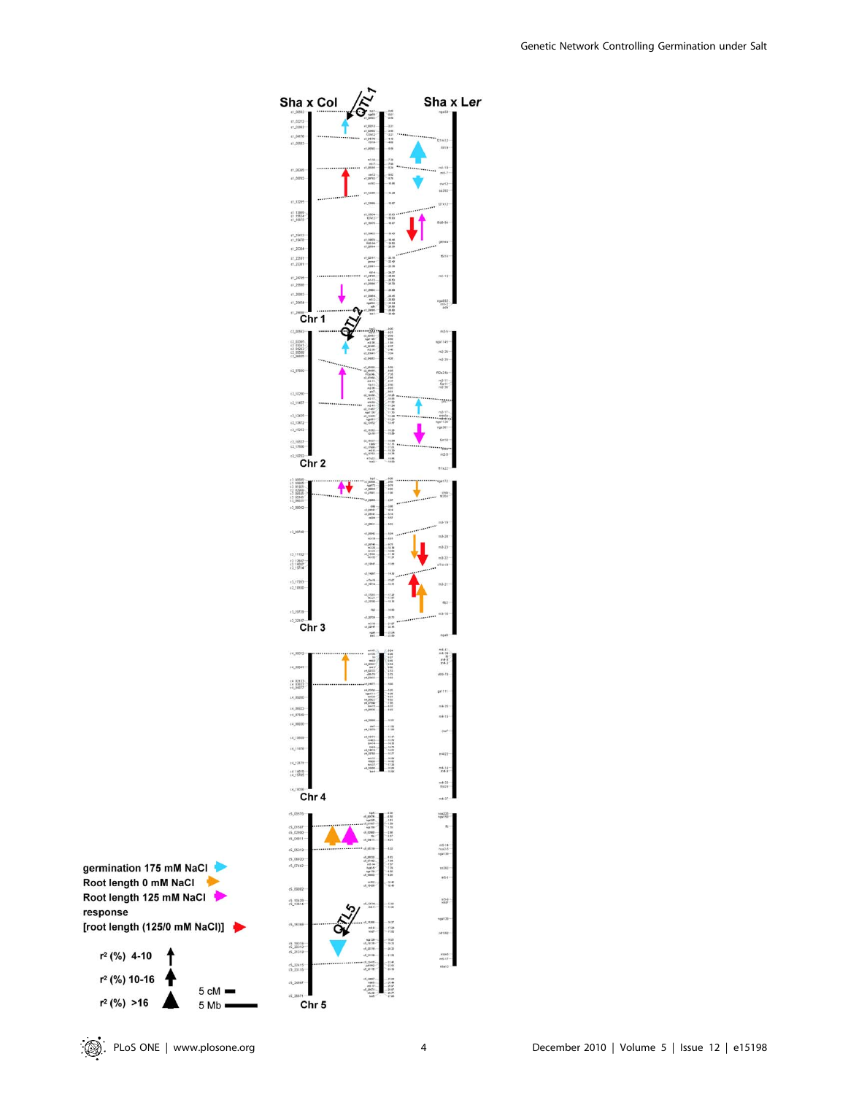



r<sup>2</sup> (%) 10-16

 $r^2$  (%) >16

 $5 Mb =$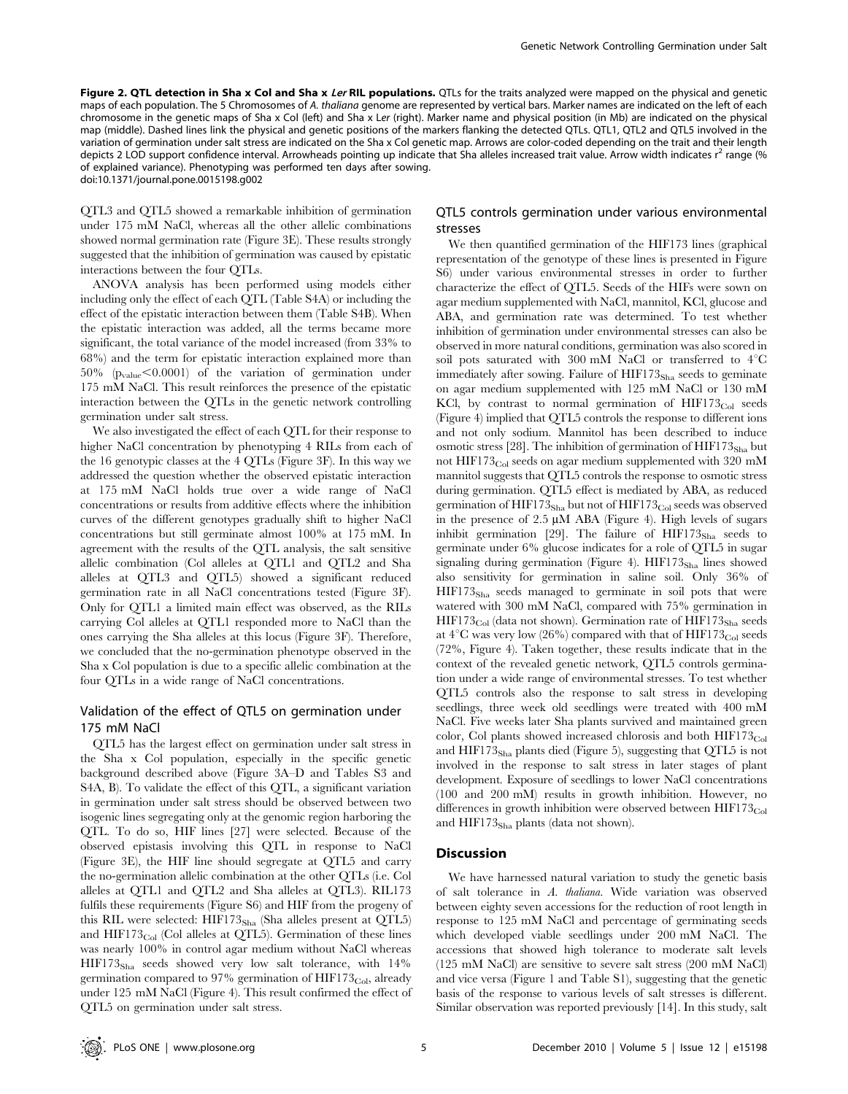Figure 2. QTL detection in Sha x Col and Sha x Ler RIL populations. QTLs for the traits analyzed were mapped on the physical and genetic maps of each population. The 5 Chromosomes of A. thaliana genome are represented by vertical bars. Marker names are indicated on the left of each chromosome in the genetic maps of Sha x Col (left) and Sha x Ler (right). Marker name and physical position (in Mb) are indicated on the physical map (middle). Dashed lines link the physical and genetic positions of the markers flanking the detected QTLs. QTL1, QTL2 and QTL5 involved in the variation of germination under salt stress are indicated on the Sha x Col genetic map. Arrows are color-coded depending on the trait and their length depicts 2 LOD support confidence interval. Arrowheads pointing up indicate that Sha alleles increased trait value. Arrow width indicates  $r^2$  range (% of explained variance). Phenotyping was performed ten days after sowing. doi:10.1371/journal.pone.0015198.g002

QTL3 and QTL5 showed a remarkable inhibition of germination under 175 mM NaCl, whereas all the other allelic combinations showed normal germination rate (Figure 3E). These results strongly suggested that the inhibition of germination was caused by epistatic interactions between the four QTLs.

ANOVA analysis has been performed using models either including only the effect of each QTL (Table S4A) or including the effect of the epistatic interaction between them (Table S4B). When the epistatic interaction was added, all the terms became more significant, the total variance of the model increased (from 33% to 68%) and the term for epistatic interaction explained more than  $50\%$  ( $p_{value} < 0.0001$ ) of the variation of germination under 175 mM NaCl. This result reinforces the presence of the epistatic interaction between the QTLs in the genetic network controlling germination under salt stress.

We also investigated the effect of each QTL for their response to higher NaCl concentration by phenotyping 4 RILs from each of the 16 genotypic classes at the 4 QTLs (Figure 3F). In this way we addressed the question whether the observed epistatic interaction at 175 mM NaCl holds true over a wide range of NaCl concentrations or results from additive effects where the inhibition curves of the different genotypes gradually shift to higher NaCl concentrations but still germinate almost 100% at 175 mM. In agreement with the results of the QTL analysis, the salt sensitive allelic combination (Col alleles at QTL1 and QTL2 and Sha alleles at QTL3 and QTL5) showed a significant reduced germination rate in all NaCl concentrations tested (Figure 3F). Only for QTL1 a limited main effect was observed, as the RILs carrying Col alleles at QTL1 responded more to NaCl than the ones carrying the Sha alleles at this locus (Figure 3F). Therefore, we concluded that the no-germination phenotype observed in the Sha x Col population is due to a specific allelic combination at the four QTLs in a wide range of NaCl concentrations.

## Validation of the effect of QTL5 on germination under 175 mM NaCl

QTL5 has the largest effect on germination under salt stress in the Sha x Col population, especially in the specific genetic background described above (Figure 3A–D and Tables S3 and S4A, B). To validate the effect of this QTL, a significant variation in germination under salt stress should be observed between two isogenic lines segregating only at the genomic region harboring the QTL. To do so, HIF lines [27] were selected. Because of the observed epistasis involving this QTL in response to NaCl (Figure 3E), the HIF line should segregate at QTL5 and carry the no-germination allelic combination at the other QTLs (i.e. Col alleles at QTL1 and QTL2 and Sha alleles at QTL3). RIL173 fulfils these requirements (Figure S6) and HIF from the progeny of this RIL were selected: HIF173<sub>Sha</sub> (Sha alleles present at QTL5) and  $HIF173<sub>Col</sub>$  (Col alleles at QTL5). Germination of these lines was nearly 100% in control agar medium without NaCl whereas HIF173<sub>Sha</sub> seeds showed very low salt tolerance, with 14% germination compared to 97% germination of  $HIF173<sub>Col</sub>$ , already under 125 mM NaCl (Figure 4). This result confirmed the effect of QTL5 on germination under salt stress.

## QTL5 controls germination under various environmental stresses

We then quantified germination of the HIF173 lines (graphical representation of the genotype of these lines is presented in Figure S6) under various environmental stresses in order to further characterize the effect of QTL5. Seeds of the HIFs were sown on agar medium supplemented with NaCl, mannitol, KCl, glucose and ABA, and germination rate was determined. To test whether inhibition of germination under environmental stresses can also be observed in more natural conditions, germination was also scored in soil pots saturated with 300 mM NaCl or transferred to  $4^{\circ}$ C immediately after sowing. Failure of  $HIF173<sub>Sha</sub>$  seeds to geminate on agar medium supplemented with 125 mM NaCl or 130 mM KCl, by contrast to normal germination of  $HIF173<sub>Col</sub>$  seeds (Figure 4) implied that QTL5 controls the response to different ions and not only sodium. Mannitol has been described to induce osmotic stress [28]. The inhibition of germination of  $HIF173<sub>Sha</sub>$  but not HIF173 $_{\text{Col}}$  seeds on agar medium supplemented with 320 mM mannitol suggests that QTL5 controls the response to osmotic stress during germination. QTL5 effect is mediated by ABA, as reduced germination of  $HIF173<sub>Sha</sub>$  but not of  $HIF173<sub>Col</sub>$  seeds was observed in the presence of  $2.5 \mu M$  ABA (Figure 4). High levels of sugars inhibit germination [29]. The failure of  $HIF173<sub>Sha</sub>$  seeds to germinate under 6% glucose indicates for a role of QTL5 in sugar signaling during germination (Figure 4).  $HIF173<sub>Sha</sub>$  lines showed also sensitivity for germination in saline soil. Only 36% of  $HIF173<sub>Sha</sub>$  seeds managed to germinate in soil pots that were watered with 300 mM NaCl, compared with 75% germination in  $HIF173<sub>Col</sub>$  (data not shown). Germination rate of  $HIF173<sub>Sha</sub>$  seeds at  $4^{\circ}$ C was very low (26%) compared with that of HIF173<sub>Col</sub> seeds (72%, Figure 4). Taken together, these results indicate that in the context of the revealed genetic network, QTL5 controls germination under a wide range of environmental stresses. To test whether QTL5 controls also the response to salt stress in developing seedlings, three week old seedlings were treated with 400 mM NaCl. Five weeks later Sha plants survived and maintained green color, Col plants showed increased chlorosis and both  $HIF173<sub>Col</sub>$ and  $HIF173<sub>Sha</sub>$  plants died (Figure 5), suggesting that QTL5 is not involved in the response to salt stress in later stages of plant development. Exposure of seedlings to lower NaCl concentrations (100 and 200 mM) results in growth inhibition. However, no differences in growth inhibition were observed between  $HIF173<sub>Col</sub>$ and  $HIF173<sub>Sha</sub>$  plants (data not shown).

## **Discussion**

We have harnessed natural variation to study the genetic basis of salt tolerance in A. thaliana. Wide variation was observed between eighty seven accessions for the reduction of root length in response to 125 mM NaCl and percentage of germinating seeds which developed viable seedlings under 200 mM NaCl. The accessions that showed high tolerance to moderate salt levels (125 mM NaCl) are sensitive to severe salt stress (200 mM NaCl) and vice versa (Figure 1 and Table S1), suggesting that the genetic basis of the response to various levels of salt stresses is different. Similar observation was reported previously [14]. In this study, salt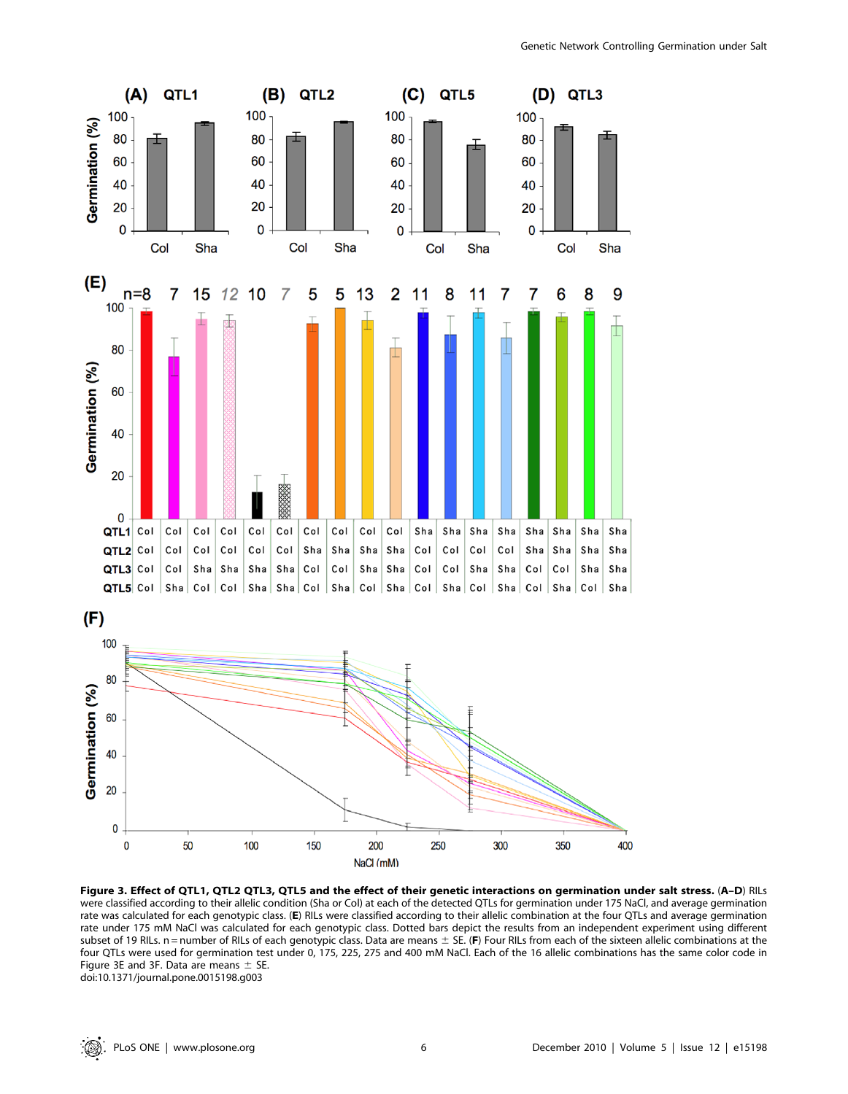

Figure 3. Effect of QTL1, QTL2 QTL3, QTL5 and the effect of their genetic interactions on germination under salt stress. (A–D) RILs were classified according to their allelic condition (Sha or Col) at each of the detected QTLs for germination under 175 NaCl, and average germination rate was calculated for each genotypic class. (E) RILs were classified according to their allelic combination at the four QTLs and average germination rate under 175 mM NaCl was calculated for each genotypic class. Dotted bars depict the results from an independent experiment using different subset of 19 RILs. n = number of RILs of each genotypic class. Data are means  $\pm$  SE. (F) Four RILs from each of the sixteen allelic combinations at the four QTLs were used for germination test under 0, 175, 225, 275 and 400 mM NaCl. Each of the 16 allelic combinations has the same color code in Figure 3E and 3F. Data are means  $\pm$  SE. doi:10.1371/journal.pone.0015198.g003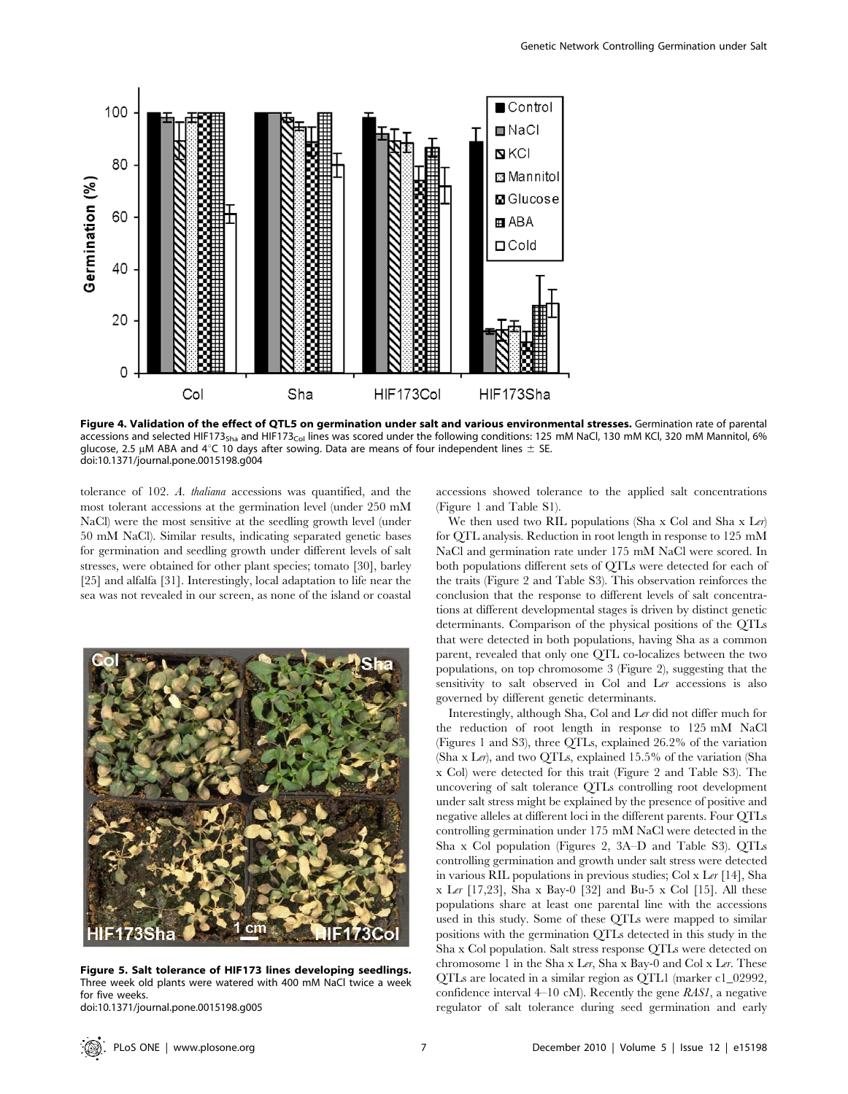

Figure 4. Validation of the effect of QTL5 on germination under salt and various environmental stresses. Germination rate of parental accessions and selected HIF173<sub>Sha</sub> and HIF173<sub>Col</sub> lines was scored under the following conditions: 125 mM NaCl, 130 mM KCl, 320 mM Mannitol, 6% glucose, 2.5 µM ABA and  $4^{\circ}$ C 10 days after sowing. Data are means of four independent lines  $\pm$  SE. doi:10.1371/journal.pone.0015198.g004

tolerance of 102. A. thaliana accessions was quantified, and the most tolerant accessions at the germination level (under 250 mM NaCl) were the most sensitive at the seedling growth level (under 50 mM NaCl). Similar results, indicating separated genetic bases for germination and seedling growth under different levels of salt stresses, were obtained for other plant species; tomato [30], barley [25] and alfalfa [31]. Interestingly, local adaptation to life near the sea was not revealed in our screen, as none of the island or coastal



Figure 5. Salt tolerance of HIF173 lines developing seedlings. Three week old plants were watered with 400 mM NaCl twice a week for five weeks.

doi:10.1371/journal.pone.0015198.g005

accessions showed tolerance to the applied salt concentrations (Figure 1 and Table S1).

We then used two RIL populations (Sha x Col and Sha x Ler) for QTL analysis. Reduction in root length in response to 125 mM NaCl and germination rate under 175 mM NaCl were scored. In both populations different sets of QTLs were detected for each of the traits (Figure 2 and Table S3). This observation reinforces the conclusion that the response to different levels of salt concentrations at different developmental stages is driven by distinct genetic determinants. Comparison of the physical positions of the QTLs that were detected in both populations, having Sha as a common parent, revealed that only one QTL co-localizes between the two populations, on top chromosome 3 (Figure 2), suggesting that the sensitivity to salt observed in Col and Ler accessions is also governed by different genetic determinants.

Interestingly, although Sha, Col and Ler did not differ much for the reduction of root length in response to 125 mM NaCl (Figures 1 and S3), three QTLs, explained 26.2% of the variation (Sha x Ler), and two QTLs, explained 15.5% of the variation (Sha x Col) were detected for this trait (Figure 2 and Table S3). The uncovering of salt tolerance QTLs controlling root development under salt stress might be explained by the presence of positive and negative alleles at different loci in the different parents. Four QTLs controlling germination under 175 mM NaCl were detected in the Sha x Col population (Figures 2, 3A–D and Table S3). QTLs controlling germination and growth under salt stress were detected in various RIL populations in previous studies; Col x Ler [14], Sha x Ler [17,23], Sha x Bay-0 [32] and Bu-5 x Col [15]. All these populations share at least one parental line with the accessions used in this study. Some of these QTLs were mapped to similar positions with the germination QTLs detected in this study in the Sha x Col population. Salt stress response QTLs were detected on chromosome 1 in the Sha x Ler, Sha x Bay-0 and Col x Ler. These QTLs are located in a similar region as QTL1 (marker c1\_02992, confidence interval  $4-10$  cM). Recently the gene RAS1, a negative regulator of salt tolerance during seed germination and early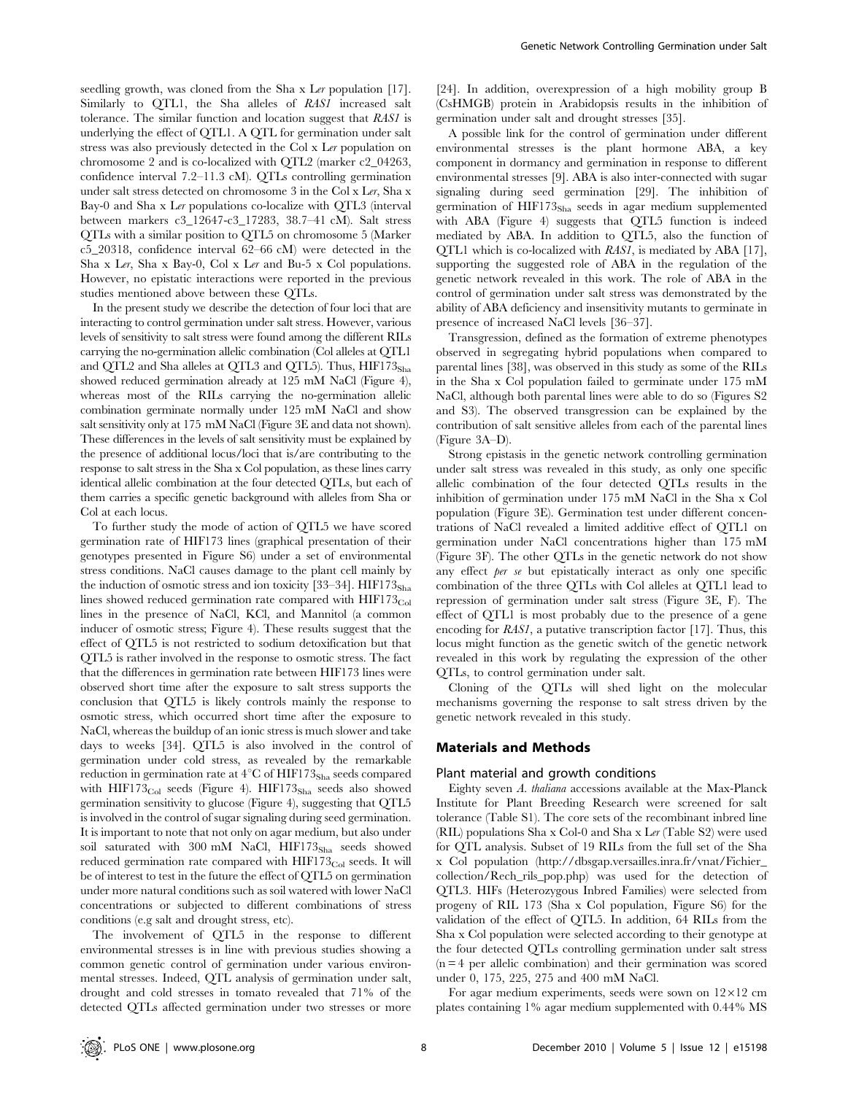seedling growth, was cloned from the Sha x Ler population [17]. Similarly to QTL1, the Sha alleles of RAS1 increased salt tolerance. The similar function and location suggest that RAS1 is underlying the effect of QTL1. A QTL for germination under salt stress was also previously detected in the Col x Ler population on chromosome 2 and is co-localized with QTL2 (marker c2\_04263, confidence interval 7.2–11.3 cM). QTLs controlling germination under salt stress detected on chromosome 3 in the Col x Ler, Sha x Bay-0 and Sha x Ler populations co-localize with QTL3 (interval between markers c3\_12647-c3\_17283, 38.7–41 cM). Salt stress QTLs with a similar position to QTL5 on chromosome 5 (Marker c5\_20318, confidence interval 62–66 cM) were detected in the Sha x Ler, Sha x Bay-0, Col x Ler and Bu-5 x Col populations. However, no epistatic interactions were reported in the previous studies mentioned above between these QTLs.

In the present study we describe the detection of four loci that are interacting to control germination under salt stress. However, various levels of sensitivity to salt stress were found among the different RILs carrying the no-germination allelic combination (Col alleles at QTL1 and QTL2 and Sha alleles at QTL3 and QTL5). Thus,  $HIF173<sub>Sha</sub>$ showed reduced germination already at 125 mM NaCl (Figure 4), whereas most of the RILs carrying the no-germination allelic combination germinate normally under 125 mM NaCl and show salt sensitivity only at 175 mM NaCl (Figure 3E and data not shown). These differences in the levels of salt sensitivity must be explained by the presence of additional locus/loci that is/are contributing to the response to salt stress in the Sha x Col population, as these lines carry identical allelic combination at the four detected QTLs, but each of them carries a specific genetic background with alleles from Sha or Col at each locus.

To further study the mode of action of QTL5 we have scored germination rate of HIF173 lines (graphical presentation of their genotypes presented in Figure S6) under a set of environmental stress conditions. NaCl causes damage to the plant cell mainly by the induction of osmotic stress and ion toxicity  $[33-34]$ . HIF173<sub>Sha</sub> lines showed reduced germination rate compared with  $HIF173<sub>Col</sub>$ lines in the presence of NaCl, KCl, and Mannitol (a common inducer of osmotic stress; Figure 4). These results suggest that the effect of QTL5 is not restricted to sodium detoxification but that QTL5 is rather involved in the response to osmotic stress. The fact that the differences in germination rate between HIF173 lines were observed short time after the exposure to salt stress supports the conclusion that QTL5 is likely controls mainly the response to osmotic stress, which occurred short time after the exposure to NaCl, whereas the buildup of an ionic stress is much slower and take days to weeks [34]. QTL5 is also involved in the control of germination under cold stress, as revealed by the remarkable reduction in germination rate at  $4^{\circ}$ C of HIF173<sub>Sha</sub> seeds compared with  $HIF173<sub>Col</sub>$  seeds (Figure 4).  $HIF173<sub>Sha</sub>$  seeds also showed germination sensitivity to glucose (Figure 4), suggesting that QTL5 is involved in the control of sugar signaling during seed germination. It is important to note that not only on agar medium, but also under soil saturated with 300 mM NaCl,  $HIF173<sub>Sha</sub>$  seeds showed reduced germination rate compared with  $HIF173<sub>Col</sub>$  seeds. It will be of interest to test in the future the effect of QTL5 on germination under more natural conditions such as soil watered with lower NaCl concentrations or subjected to different combinations of stress conditions (e.g salt and drought stress, etc).

The involvement of QTL5 in the response to different environmental stresses is in line with previous studies showing a common genetic control of germination under various environmental stresses. Indeed, QTL analysis of germination under salt, drought and cold stresses in tomato revealed that 71% of the detected QTLs affected germination under two stresses or more [24]. In addition, overexpression of a high mobility group B (CsHMGB) protein in Arabidopsis results in the inhibition of germination under salt and drought stresses [35].

A possible link for the control of germination under different environmental stresses is the plant hormone ABA, a key component in dormancy and germination in response to different environmental stresses [9]. ABA is also inter-connected with sugar signaling during seed germination [29]. The inhibition of germination of  $HIF173<sub>Sha</sub>$  seeds in agar medium supplemented with ABA (Figure 4) suggests that QTL5 function is indeed mediated by ABA. In addition to QTL5, also the function of QTL1 which is co-localized with RAS1, is mediated by ABA [17], supporting the suggested role of ABA in the regulation of the genetic network revealed in this work. The role of ABA in the control of germination under salt stress was demonstrated by the ability of ABA deficiency and insensitivity mutants to germinate in presence of increased NaCl levels [36–37].

Transgression, defined as the formation of extreme phenotypes observed in segregating hybrid populations when compared to parental lines [38], was observed in this study as some of the RILs in the Sha x Col population failed to germinate under 175 mM NaCl, although both parental lines were able to do so (Figures S2 and S3). The observed transgression can be explained by the contribution of salt sensitive alleles from each of the parental lines (Figure 3A–D).

Strong epistasis in the genetic network controlling germination under salt stress was revealed in this study, as only one specific allelic combination of the four detected QTLs results in the inhibition of germination under 175 mM NaCl in the Sha x Col population (Figure 3E). Germination test under different concentrations of NaCl revealed a limited additive effect of QTL1 on germination under NaCl concentrations higher than 175 mM (Figure 3F). The other QTLs in the genetic network do not show any effect per se but epistatically interact as only one specific combination of the three QTLs with Col alleles at QTL1 lead to repression of germination under salt stress (Figure 3E, F). The effect of QTL1 is most probably due to the presence of a gene encoding for RAS1, a putative transcription factor [17]. Thus, this locus might function as the genetic switch of the genetic network revealed in this work by regulating the expression of the other QTLs, to control germination under salt.

Cloning of the QTLs will shed light on the molecular mechanisms governing the response to salt stress driven by the genetic network revealed in this study.

#### Materials and Methods

#### Plant material and growth conditions

Eighty seven A. thaliana accessions available at the Max-Planck Institute for Plant Breeding Research were screened for salt tolerance (Table S1). The core sets of the recombinant inbred line (RIL) populations Sha x Col-0 and Sha x Ler (Table S2) were used for QTL analysis. Subset of 19 RILs from the full set of the Sha x Col population (http://dbsgap.versailles.inra.fr/vnat/Fichier\_ collection/Rech\_rils\_pop.php) was used for the detection of QTL3. HIFs (Heterozygous Inbred Families) were selected from progeny of RIL 173 (Sha x Col population, Figure S6) for the validation of the effect of QTL5. In addition, 64 RILs from the Sha x Col population were selected according to their genotype at the four detected QTLs controlling germination under salt stress  $(n = 4$  per allelic combination) and their germination was scored under 0, 175, 225, 275 and 400 mM NaCl.

For agar medium experiments, seeds were sown on  $12\times12$  cm plates containing 1% agar medium supplemented with 0.44% MS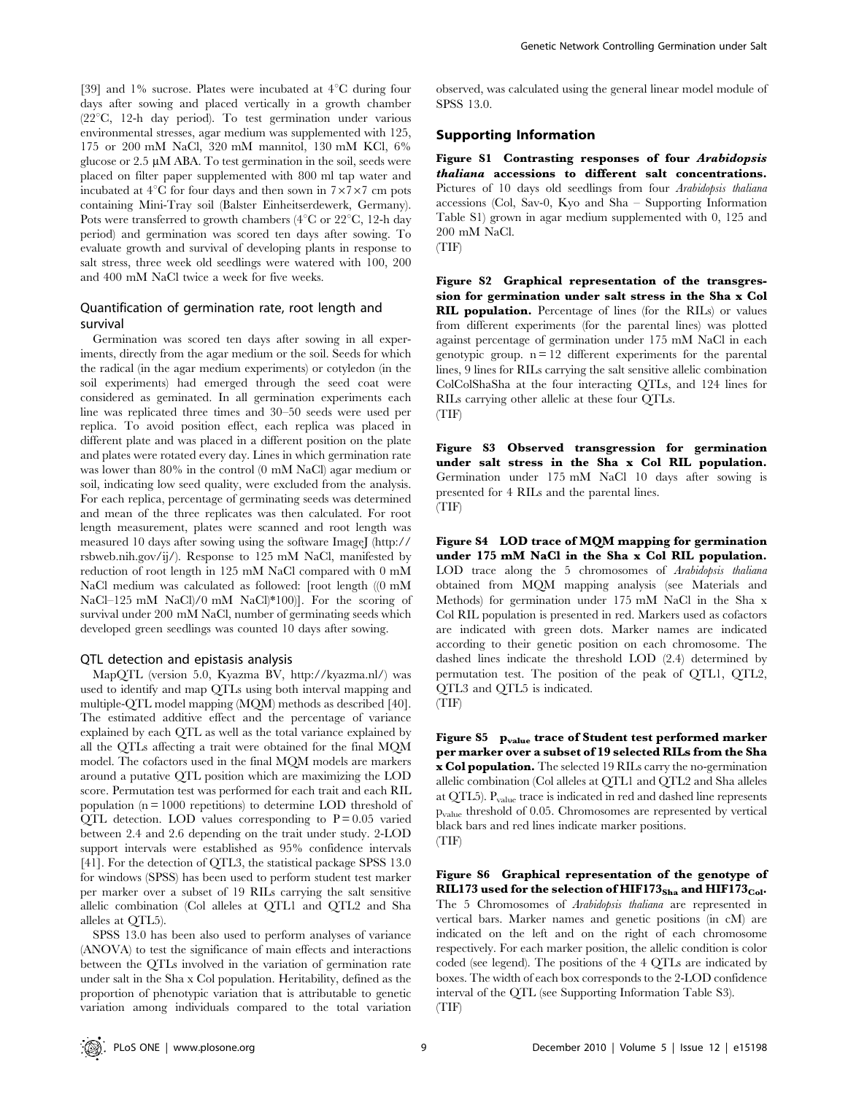[39] and 1% sucrose. Plates were incubated at  $4^{\circ}$ C during four days after sowing and placed vertically in a growth chamber  $(22^{\circ}C, 12$ -h day period). To test germination under various environmental stresses, agar medium was supplemented with 125, 175 or 200 mM NaCl, 320 mM mannitol, 130 mM KCl, 6% glucose or  $2.5 \mu M$  ABA. To test germination in the soil, seeds were placed on filter paper supplemented with 800 ml tap water and incubated at  $4^{\circ}$ C for four days and then sown in  $7\times7\times7$  cm pots containing Mini-Tray soil (Balster Einheitserdewerk, Germany). Pots were transferred to growth chambers  $(4^{\circ}C)$  or  $22^{\circ}C$ , 12-h day period) and germination was scored ten days after sowing. To evaluate growth and survival of developing plants in response to salt stress, three week old seedlings were watered with 100, 200 and 400 mM NaCl twice a week for five weeks.

## Quantification of germination rate, root length and survival

Germination was scored ten days after sowing in all experiments, directly from the agar medium or the soil. Seeds for which the radical (in the agar medium experiments) or cotyledon (in the soil experiments) had emerged through the seed coat were considered as geminated. In all germination experiments each line was replicated three times and 30–50 seeds were used per replica. To avoid position effect, each replica was placed in different plate and was placed in a different position on the plate and plates were rotated every day. Lines in which germination rate was lower than 80% in the control (0 mM NaCl) agar medium or soil, indicating low seed quality, were excluded from the analysis. For each replica, percentage of germinating seeds was determined and mean of the three replicates was then calculated. For root length measurement, plates were scanned and root length was measured 10 days after sowing using the software ImageJ (http:// rsbweb.nih.gov/ij/). Response to 125 mM NaCl, manifested by reduction of root length in 125 mM NaCl compared with 0 mM NaCl medium was calculated as followed: [root length ((0 mM NaCl–125 mM NaCl)/0 mM NaCl)\*100)]. For the scoring of survival under 200 mM NaCl, number of germinating seeds which developed green seedlings was counted 10 days after sowing.

#### QTL detection and epistasis analysis

MapQTL (version 5.0, Kyazma BV, http://kyazma.nl/) was used to identify and map QTLs using both interval mapping and multiple-QTL model mapping (MQM) methods as described [40]. The estimated additive effect and the percentage of variance explained by each QTL as well as the total variance explained by all the QTLs affecting a trait were obtained for the final MQM model. The cofactors used in the final MQM models are markers around a putative QTL position which are maximizing the LOD score. Permutation test was performed for each trait and each RIL population ( $n = 1000$  repetitions) to determine LOD threshold of QTL detection. LOD values corresponding to  $P = 0.05$  varied between 2.4 and 2.6 depending on the trait under study. 2-LOD support intervals were established as 95% confidence intervals [41]. For the detection of QTL3, the statistical package SPSS 13.0 for windows (SPSS) has been used to perform student test marker per marker over a subset of 19 RILs carrying the salt sensitive allelic combination (Col alleles at QTL1 and QTL2 and Sha alleles at QTL5).

SPSS 13.0 has been also used to perform analyses of variance (ANOVA) to test the significance of main effects and interactions between the QTLs involved in the variation of germination rate under salt in the Sha x Col population. Heritability, defined as the proportion of phenotypic variation that is attributable to genetic variation among individuals compared to the total variation observed, was calculated using the general linear model module of SPSS 13.0.

#### Supporting Information

Figure S1 Contrasting responses of four Arabidopsis thaliana accessions to different salt concentrations. Pictures of 10 days old seedlings from four Arabidopsis thaliana accessions (Col, Sav-0, Kyo and Sha – Supporting Information Table S1) grown in agar medium supplemented with 0, 125 and 200 mM NaCl.

Figure S2 Graphical representation of the transgression for germination under salt stress in the Sha x Col RIL population. Percentage of lines (for the RILs) or values from different experiments (for the parental lines) was plotted against percentage of germination under 175 mM NaCl in each genotypic group.  $n = 12$  different experiments for the parental lines, 9 lines for RILs carrying the salt sensitive allelic combination ColColShaSha at the four interacting QTLs, and 124 lines for RILs carrying other allelic at these four QTLs. (TIF)

Figure S3 Observed transgression for germination under salt stress in the Sha x Col RIL population. Germination under 175 mM NaCl 10 days after sowing is presented for 4 RILs and the parental lines. (TIF)

Figure S4 LOD trace of MQM mapping for germination under 175 mM NaCl in the Sha x Col RIL population. LOD trace along the 5 chromosomes of Arabidopsis thaliana obtained from MQM mapping analysis (see Materials and Methods) for germination under 175 mM NaCl in the Sha x Col RIL population is presented in red. Markers used as cofactors are indicated with green dots. Marker names are indicated according to their genetic position on each chromosome. The dashed lines indicate the threshold LOD (2.4) determined by permutation test. The position of the peak of QTL1, QTL2, QTL3 and QTL5 is indicated.

(TIF)

Figure S5 p<sub>value</sub> trace of Student test performed marker per marker over a subset of 19 selected RILs from the Sha x Col population. The selected 19 RILs carry the no-germination allelic combination (Col alleles at QTL1 and QTL2 and Sha alleles at QTL5). Pvalue trace is indicated in red and dashed line represents pvalue threshold of 0.05. Chromosomes are represented by vertical black bars and red lines indicate marker positions. (TIF)

Figure S6 Graphical representation of the genotype of RIL173 used for the selection of HIF173<sub>Sha</sub> and HIF173<sub>Col</sub>. The 5 Chromosomes of Arabidopsis thaliana are represented in vertical bars. Marker names and genetic positions (in cM) are indicated on the left and on the right of each chromosome respectively. For each marker position, the allelic condition is color coded (see legend). The positions of the 4 QTLs are indicated by boxes. The width of each box corresponds to the 2-LOD confidence interval of the QTL (see Supporting Information Table S3). (TIF)

<sup>(</sup>TIF)